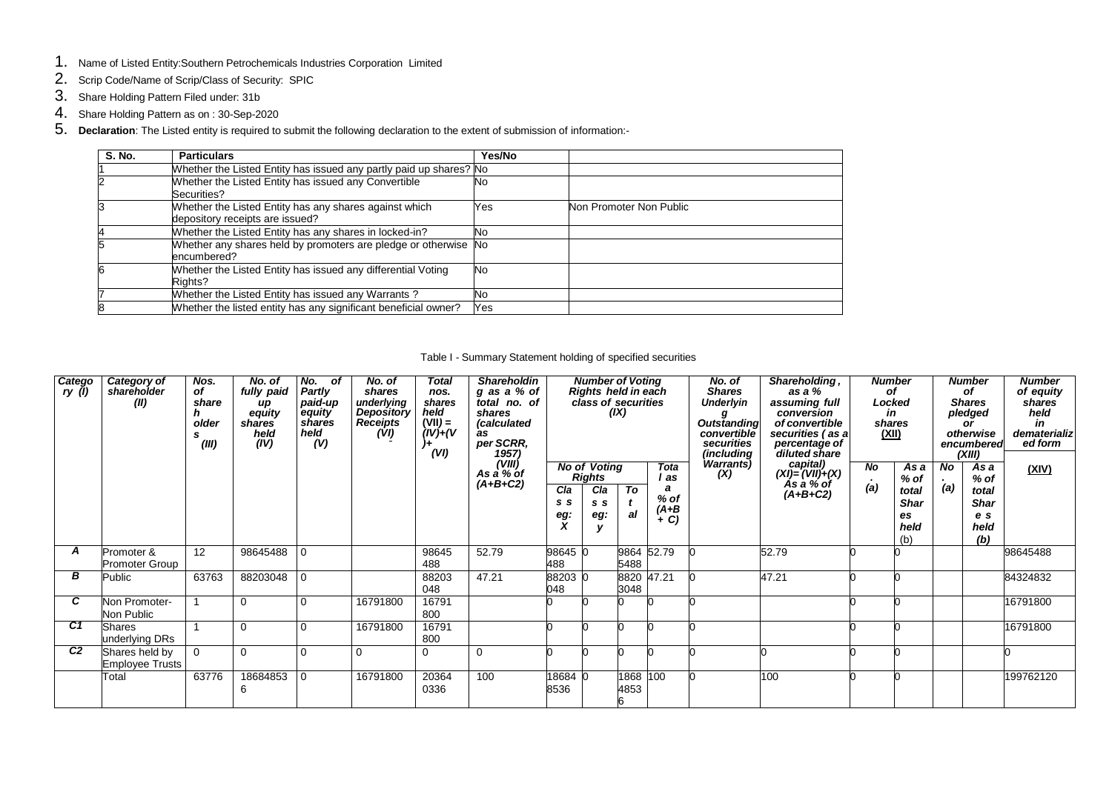- 1. Name of Listed Entity:Southern Petrochemicals Industries Corporation Limited
- 2. Scrip Code/Name of Scrip/Class of Security: SPIC
- 3. Share Holding Pattern Filed under: 31b
- 4. Share Holding Pattern as on : 30-Sep-2020
- 5. **Declaration**: The Listed entity is required to submit the following declaration to the extent of submission of information:-

| <b>S. No.</b> | <b>Particulars</b>                                                                        | Yes/No    |                         |
|---------------|-------------------------------------------------------------------------------------------|-----------|-------------------------|
|               | Whether the Listed Entity has issued any partly paid up shares? No                        |           |                         |
|               | Whether the Listed Entity has issued any Convertible<br>Securities?                       | No        |                         |
|               | Whether the Listed Entity has any shares against which<br>depository receipts are issued? | Yes       | Non Promoter Non Public |
|               | Whether the Listed Entity has any shares in locked-in?                                    | No        |                         |
|               | Whether any shares held by promoters are pledge or otherwise No<br>encumbered?            |           |                         |
|               | Whether the Listed Entity has issued any differential Voting<br>Rights?                   | <b>No</b> |                         |
|               | Whether the Listed Entity has issued any Warrants?                                        | No        |                         |
|               | Whether the listed entity has any significant beneficial owner?                           | Yes       |                         |

## Table I - Summary Statement holding of specified securities

| Catego<br>ry (l) | Category of<br>shareholder<br>(II)       | Nos.<br>of<br>share<br>older<br>(III) | No. of<br>fully paid<br>иp<br>equity<br>shares<br>held<br>(IV) | No.<br>of<br>Partly<br>paid-up<br>equity<br>shares<br>held<br>(V) | No. of<br>shares<br>underlying<br><b>Depository</b><br><b>Receipts</b><br>(VI) | Total<br>nos.<br>shares<br>held<br>$(VII) =$<br>$(IV) + (V)$<br>(VI) | <b>Shareholdin</b><br>g as a % of<br>total no. of<br>shares<br>(calculated<br>as<br>per SCRR,<br>$(1957)$<br>(VIII)<br>As a % of |                   | <b>Number of Voting</b><br>Rights held in each<br>class of securities | (IX)         |                                            | No. of<br><b>Shares</b><br><b>Underlyin</b><br><b>Outstanding</b><br>convertible<br>securities<br>(including<br>Warrants) | Shareholding,<br>as a %<br>assuming full<br>conversion<br>of convertible<br>securities (as a<br>percentage of<br>diluted share | Locked<br>(XII) | <b>Number</b><br>οf<br>in<br>shares                         |                  | <b>Number</b><br>οf<br><b>Shares</b><br>pledged<br>or<br>otherwise<br>encumbered<br>(XIII) | <b>Number</b><br>of equity<br>shares<br>held<br>in<br>dematerializ<br>ed form |
|------------------|------------------------------------------|---------------------------------------|----------------------------------------------------------------|-------------------------------------------------------------------|--------------------------------------------------------------------------------|----------------------------------------------------------------------|----------------------------------------------------------------------------------------------------------------------------------|-------------------|-----------------------------------------------------------------------|--------------|--------------------------------------------|---------------------------------------------------------------------------------------------------------------------------|--------------------------------------------------------------------------------------------------------------------------------|-----------------|-------------------------------------------------------------|------------------|--------------------------------------------------------------------------------------------|-------------------------------------------------------------------------------|
|                  |                                          |                                       |                                                                |                                                                   |                                                                                |                                                                      | $(A+B+C2)$                                                                                                                       | Cla<br>s s<br>eg: | <b>No of Voting</b><br><b>Rights</b><br>Cla<br>s s<br>eg:             | To<br>al     | Tota<br>' as<br>$%$ of<br>$(A+B)$<br>$+ C$ | (X)                                                                                                                       | capital)<br>$(XI) = (VII)+(X)$<br>As a % of<br>$(A+B+C2)$                                                                      | No<br>(a)       | As a<br>$%$ of<br>total<br><b>Shar</b><br>es<br>held<br>(b) | <b>No</b><br>(a) | As a<br>$%$ of<br>total<br><b>Shar</b><br>e s<br>held<br>(b)                               | (XIV)                                                                         |
| A                | Promoter &<br>Promoter Group             | 12                                    | 98645488                                                       | l 0                                                               |                                                                                | 98645<br>488                                                         | 52.79                                                                                                                            | 98645 0<br>488    |                                                                       | 5488         | 9864 52.79                                 |                                                                                                                           | 52.79                                                                                                                          |                 |                                                             |                  |                                                                                            | 98645488                                                                      |
| В                | Public                                   | 63763                                 | 88203048                                                       | $\overline{0}$                                                    |                                                                                | 88203<br>048                                                         | 47.21                                                                                                                            | 88203 0<br>048    |                                                                       | 3048         | 8820 47.21                                 |                                                                                                                           | 47.21                                                                                                                          |                 |                                                             |                  |                                                                                            | 84324832                                                                      |
| C.               | Non Promoter-<br>Non Public              |                                       | $\Omega$                                                       | $\Omega$                                                          | 16791800                                                                       | 16791<br>800                                                         |                                                                                                                                  |                   |                                                                       |              |                                            |                                                                                                                           |                                                                                                                                |                 |                                                             |                  |                                                                                            | 16791800                                                                      |
| C1               | <b>Shares</b><br>underlying DRs          |                                       | $\Omega$                                                       | $\Omega$                                                          | 16791800                                                                       | 16791<br>800                                                         |                                                                                                                                  |                   |                                                                       |              |                                            |                                                                                                                           |                                                                                                                                |                 |                                                             |                  |                                                                                            | 16791800                                                                      |
| C <sub>2</sub>   | Shares held by<br><b>Employee Trusts</b> | $\Omega$                              | $\Omega$                                                       |                                                                   | $\Omega$                                                                       | $\Omega$                                                             | $\Omega$                                                                                                                         |                   |                                                                       |              |                                            |                                                                                                                           |                                                                                                                                |                 |                                                             |                  |                                                                                            |                                                                               |
|                  | Total                                    | 63776                                 | 18684853<br>6                                                  | l O                                                               | 16791800                                                                       | 20364<br>0336                                                        | 100                                                                                                                              | 18684<br>8536     |                                                                       | 1868<br>4853 | 100                                        |                                                                                                                           | 100                                                                                                                            |                 |                                                             |                  |                                                                                            | 199762120                                                                     |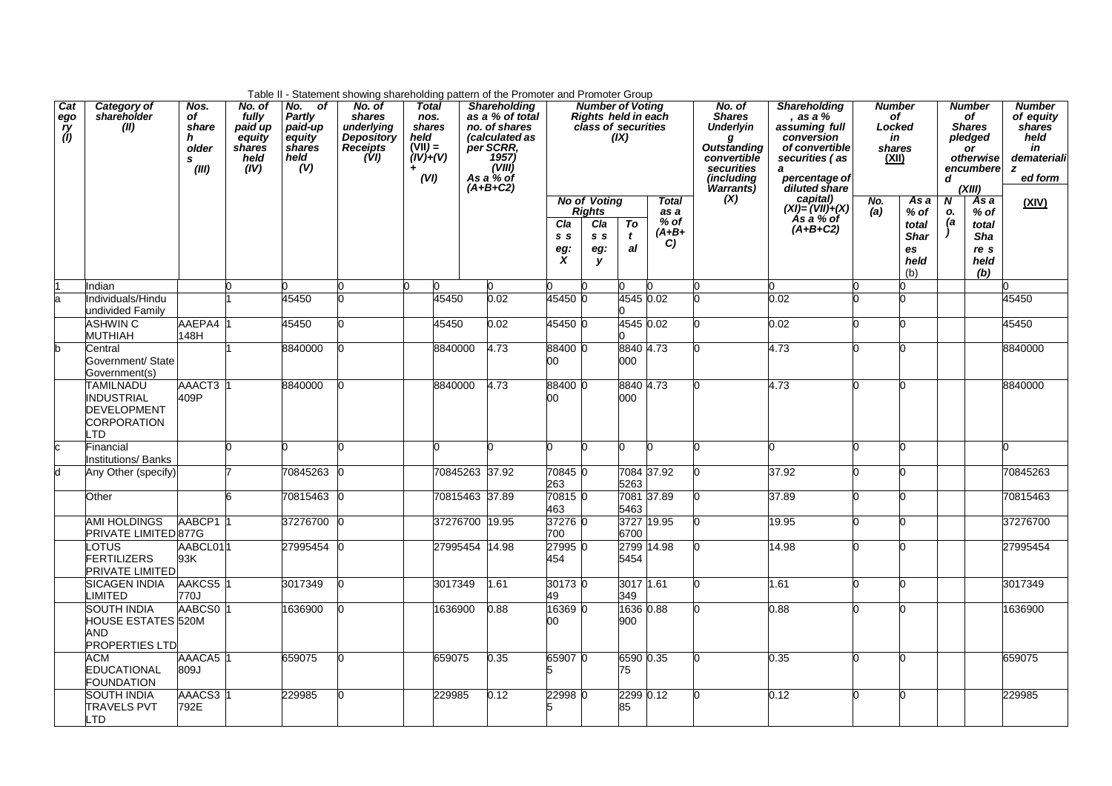|                         |                                                                                          |                                                 |                                                                |                                                                | Table II - Statement showing shareholding pattern of the Promoter and Promoter Group        |                                                                           |                |                                                                                                                                        |                                   |                                                                       |                    |                                               |                                                                                                                           |                                                                                                                                                          |                                                        |                                                                          |               |                                                                                                  |                                                                                   |
|-------------------------|------------------------------------------------------------------------------------------|-------------------------------------------------|----------------------------------------------------------------|----------------------------------------------------------------|---------------------------------------------------------------------------------------------|---------------------------------------------------------------------------|----------------|----------------------------------------------------------------------------------------------------------------------------------------|-----------------------------------|-----------------------------------------------------------------------|--------------------|-----------------------------------------------|---------------------------------------------------------------------------------------------------------------------------|----------------------------------------------------------------------------------------------------------------------------------------------------------|--------------------------------------------------------|--------------------------------------------------------------------------|---------------|--------------------------------------------------------------------------------------------------|-----------------------------------------------------------------------------------|
| Cat<br>ego<br>ry<br>(I) | Category of<br>shareholder<br>(II)                                                       | Nos.<br>of<br>share<br>h<br>older<br>s<br>(III) | No. of<br>fully<br>paid up<br>equity<br>shares<br>held<br>(IV) | No. of<br>Partly<br>paid-up<br>equity<br>shares<br>held<br>(V) | No. of<br>shares<br>underlying<br><b>Depository</b><br><b>Receipts</b><br>$\overline{(VI)}$ | <b>Total</b><br>nos.<br>shares<br>held<br>$(VII) =$<br>$(IV)+(V)$<br>(VI) |                | <b>Shareholding</b><br>as a % of total<br>no. of shares<br>(calculated as<br>per SCRR.<br>1957)<br>(VIII)<br>As a $%$ of<br>$(A+B+C2)$ |                                   | <b>Number of Voting</b><br>Rights held in each<br>class of securities | (X)                |                                               | No. of<br><b>Shares</b><br><b>Underlyin</b><br>Outstanding<br>convertible<br>securities<br><i>(including</i><br>Warrants) | <b>Shareholding</b><br>, as a %<br>assuming full<br>conversion<br>of convertible<br>securities (as<br>$\boldsymbol{a}$<br>percentage of<br>diluted share | <b>Number</b><br>of<br>Locked<br>in<br>shares<br>(XII) |                                                                          | d             | <b>Number</b><br>of<br><b>Shares</b><br>pledged<br><b>or</b><br>otherwise<br>encumbere<br>(XIII) | <b>Number</b><br>of equity<br>shares<br>held<br>in<br>demateriali<br>z<br>ed form |
|                         |                                                                                          |                                                 |                                                                |                                                                |                                                                                             |                                                                           |                |                                                                                                                                        | Cla<br>s <sub>s</sub><br>eg:<br>X | <b>No of Voting</b><br><b>Rights</b><br>Cla<br>s s<br>eg:<br>у        | To<br>t<br>al      | <b>Total</b><br>as a<br>$%$ of<br>(A+B+<br>C) | (X)                                                                                                                       | capital)<br>(XI)= (VII)+(X)<br>$\overline{As}$ a % of<br>$(A+B+C2)$                                                                                      | No.<br>(a)                                             | $\overline{As} a$<br>$%$ of<br>total<br><b>Shar</b><br>es<br>held<br>(b) | N<br>о.<br>(a | As a<br>$%$ of<br>total<br>Sha<br>re s<br>held<br>(b)                                            | (XIV)                                                                             |
|                         | Indian                                                                                   |                                                 |                                                                |                                                                |                                                                                             |                                                                           |                |                                                                                                                                        |                                   |                                                                       |                    |                                               |                                                                                                                           |                                                                                                                                                          |                                                        |                                                                          |               |                                                                                                  |                                                                                   |
| a                       | Individuals/Hindu                                                                        |                                                 |                                                                | 45450                                                          |                                                                                             | 45450                                                                     |                | 0.02                                                                                                                                   | 45450 0                           |                                                                       | 4545 0.02          |                                               |                                                                                                                           | 0.02                                                                                                                                                     |                                                        |                                                                          |               |                                                                                                  | 45450                                                                             |
|                         | undivided Family<br><b>ASHWIN C</b><br><b>MUTHIAH</b>                                    | AAEPA4 1<br>148H                                |                                                                | 45450                                                          |                                                                                             | 45450                                                                     |                | 0.02                                                                                                                                   | 45450 0                           |                                                                       | 4545 0.02          |                                               |                                                                                                                           | 0.02                                                                                                                                                     |                                                        |                                                                          |               |                                                                                                  | 45450                                                                             |
| h                       | Central<br>Government/ State<br>Government(s)                                            |                                                 |                                                                | 8840000                                                        |                                                                                             | 8840000                                                                   |                | 4.73                                                                                                                                   | 88400 0<br>00                     |                                                                       | 8840 4.73<br>000   |                                               |                                                                                                                           | 4.73                                                                                                                                                     |                                                        |                                                                          |               |                                                                                                  | 8840000                                                                           |
|                         | <b>TAMILNADU</b><br><b>INDUSTRIAL</b><br><b>DEVELOPMENT</b><br><b>CORPORATION</b><br>LTD | AAACT3 1<br>409P                                |                                                                | 8840000                                                        |                                                                                             | 8840000                                                                   |                | 4.73                                                                                                                                   | 88400 0<br>00                     |                                                                       | 8840 4.73<br>000   |                                               |                                                                                                                           | 4.73                                                                                                                                                     |                                                        |                                                                          |               |                                                                                                  | 8840000                                                                           |
| c                       | Financial<br><b>Institutions/ Banks</b>                                                  |                                                 |                                                                |                                                                |                                                                                             |                                                                           |                |                                                                                                                                        |                                   |                                                                       |                    |                                               |                                                                                                                           |                                                                                                                                                          |                                                        |                                                                          |               |                                                                                                  |                                                                                   |
| d                       | Any Other (specify)                                                                      |                                                 |                                                                | 70845263                                                       |                                                                                             |                                                                           | 70845263 37.92 |                                                                                                                                        | 70845 0<br>263                    |                                                                       | 5263               | 7084 37.92                                    |                                                                                                                           | 37.92                                                                                                                                                    |                                                        |                                                                          |               |                                                                                                  | 70845263                                                                          |
|                         | Other                                                                                    |                                                 |                                                                | 70815463                                                       |                                                                                             |                                                                           | 70815463 37.89 |                                                                                                                                        | 70815 0<br>463                    |                                                                       | 5463               | 7081 37.89                                    |                                                                                                                           | 37.89                                                                                                                                                    |                                                        |                                                                          |               |                                                                                                  | 70815463                                                                          |
|                         | <b>AMI HOLDINGS</b><br><b>PRIVATE LIMITED 877G</b>                                       | AABCP1 1                                        |                                                                | 37276700                                                       |                                                                                             |                                                                           | 37276700 19.95 |                                                                                                                                        | 372760<br>700                     |                                                                       | 3727 19.95<br>6700 |                                               | n                                                                                                                         | 19.95                                                                                                                                                    |                                                        |                                                                          |               |                                                                                                  | 37276700                                                                          |
|                         | LOTUS<br><b>FERTILIZERS</b><br><b>PRIVATE LIMITED</b>                                    | AABCL011<br>93K                                 |                                                                | 27995454                                                       |                                                                                             |                                                                           | 27995454 14.98 |                                                                                                                                        | 27995 0<br>454                    |                                                                       | 2799 14.98<br>5454 |                                               |                                                                                                                           | 14.98                                                                                                                                                    |                                                        |                                                                          |               |                                                                                                  | 27995454                                                                          |
|                         | <b>SICAGEN INDIA</b><br>LIMITED                                                          | AAKCS5 1<br>770J                                |                                                                | 3017349                                                        |                                                                                             | 3017349                                                                   |                | .61                                                                                                                                    | 30173 0<br>49                     |                                                                       | 3017 1.61<br>349   |                                               |                                                                                                                           | 1.61                                                                                                                                                     |                                                        |                                                                          |               |                                                                                                  | 3017349                                                                           |
|                         | SOUTH INDIA<br><b>HOUSE ESTATES 520M</b><br>AND<br><b>PROPERTIES LTD</b>                 | AABCS0 1                                        |                                                                | 1636900                                                        |                                                                                             | 1636900                                                                   |                | 0.88                                                                                                                                   | 16369 0<br>00                     |                                                                       | 1636 0.88<br>900   |                                               |                                                                                                                           | 0.88                                                                                                                                                     |                                                        |                                                                          |               |                                                                                                  | 1636900                                                                           |
|                         | ACM<br><b>EDUCATIONAL</b><br><b>FOUNDATION</b>                                           | AAACA5 1<br><b>Le08</b>                         |                                                                | 659075                                                         |                                                                                             | 659075                                                                    |                | 0.35                                                                                                                                   | 65907 0<br>ь                      |                                                                       | 6590 0.35<br>75    |                                               |                                                                                                                           | 0.35                                                                                                                                                     |                                                        |                                                                          |               |                                                                                                  | 659075                                                                            |
|                         | SOUTH INDIA<br><b>TRAVELS PVT</b><br>LTD                                                 | AAACS3 1<br>792E                                |                                                                | 229985                                                         |                                                                                             | 229985                                                                    |                | 0.12                                                                                                                                   | 22998 C                           |                                                                       | 2299 0.12<br>85    |                                               |                                                                                                                           | 0.12                                                                                                                                                     |                                                        |                                                                          |               |                                                                                                  | 229985                                                                            |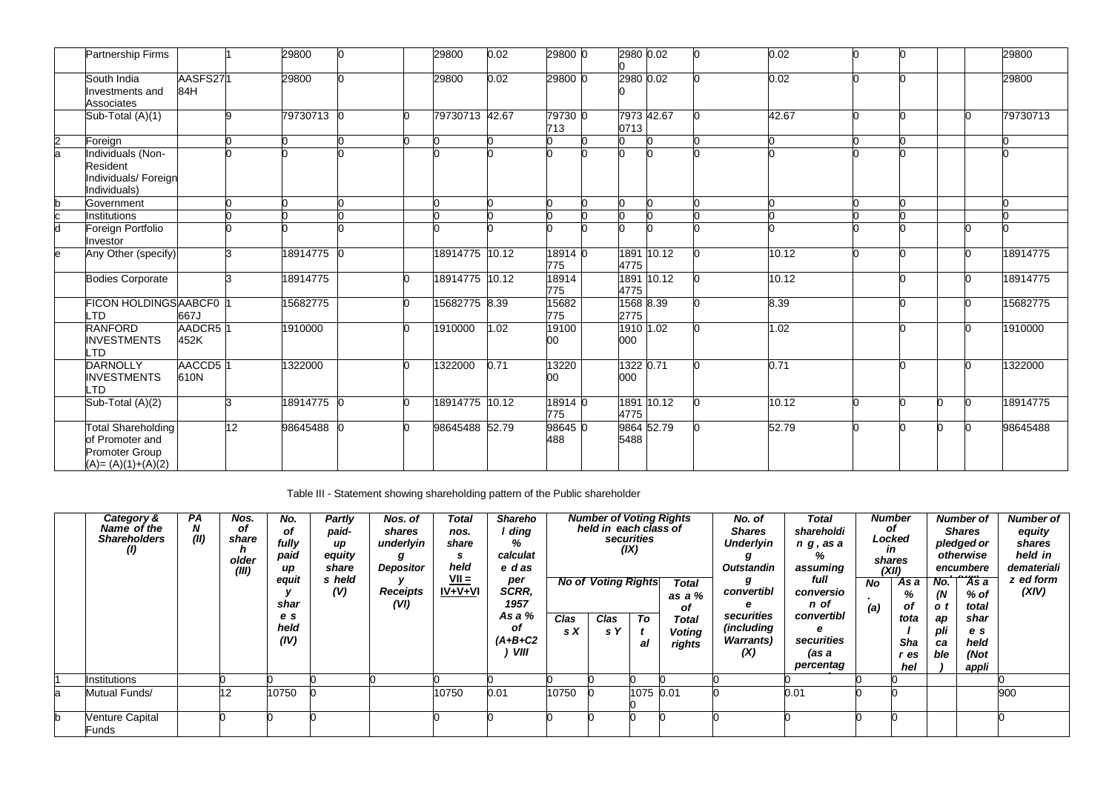|   | <b>Partnership Firms</b>                                                                |                             |    | 29800      |   | 29800          | 0.02 | 29800 0        | 2980 0.02          |            | 'n | 0.02  |  |   |   | 29800    |
|---|-----------------------------------------------------------------------------------------|-----------------------------|----|------------|---|----------------|------|----------------|--------------------|------------|----|-------|--|---|---|----------|
|   | South India<br>Investments and<br><b>Associates</b>                                     | AASFS271<br>84H             |    | 29800      |   | 29800          | 0.02 | 29800 0        | 2980 0.02          |            |    | 0.02  |  |   |   | 29800    |
|   | Sub-Total (A)(1)                                                                        |                             |    | 79730713 0 | n | 79730713 42.67 |      | 79730 0<br>713 | 7973 42.67<br>0713 |            |    | 42.67 |  |   |   | 79730713 |
| 2 | Foreign                                                                                 |                             |    |            |   |                |      |                |                    |            |    |       |  |   |   |          |
| a | Individuals (Non-<br>Resident<br>Individuals/ Foreign<br>Individuals)                   |                             |    |            |   |                |      |                |                    |            |    |       |  |   |   |          |
|   | Government                                                                              |                             |    |            |   |                |      |                |                    |            |    |       |  |   |   |          |
|   | Institutions                                                                            |                             |    |            |   |                |      | n              | n                  |            |    |       |  |   |   |          |
|   | Foreign Portfolio<br>Investor                                                           |                             |    |            |   |                |      |                |                    |            |    |       |  |   |   |          |
| e | Any Other (specify)                                                                     |                             |    | 18914775 C |   | 18914775 10.12 |      | 18914 0<br>775 | 4775               | 1891 10.12 |    | 10.12 |  |   |   | 18914775 |
|   | <b>Bodies Corporate</b>                                                                 |                             |    | 18914775   | n | 18914775 10.12 |      | 18914<br>775   | 4775               | 1891 10.12 |    | 10.12 |  |   |   | 18914775 |
|   | FICON HOLDINGS AABCF0<br>TD.                                                            | 667J                        |    | 15682775   |   | 15682775 8.39  |      | 15682<br>775   | 1568 8.39<br>2775  |            |    | 8.39  |  |   |   | 15682775 |
|   | <b>RANFORD</b><br><b>INVESTMENTS</b><br>LTD                                             | AADCR5 <sup>1</sup><br>452K |    | 1910000    | n | 1910000        | 1.02 | 19100<br>00    | 1910 1.02<br>000   |            |    | 1.02  |  |   |   | 1910000  |
|   | <b>DARNOLLY</b><br><b>INVESTMENTS</b><br>LTD.                                           | AACCD5<br>610N              |    | 1322000    | n | 1322000        | 0.71 | 13220<br>00    | 1322 0.71<br>000   |            |    | 0.71  |  |   |   | 1322000  |
|   | Sub-Total (A)(2)                                                                        |                             |    | 18914775   | n | 18914775 10.12 |      | 18914 0<br>775 | 4775               | 1891 10.12 |    | 10.12 |  | n | n | 18914775 |
|   | <b>Total Shareholding</b><br>of Promoter and<br>Promoter Group<br>$(A) = (A)(1)+(A)(2)$ |                             | 12 | 98645488   | n | 98645488 52.79 |      | 98645 0<br>488 | 5488               | 9864 52.79 |    | 52.79 |  |   |   | 98645488 |

Table III - Statement showing shareholding pattern of the Public shareholder

|    | Category &<br>Name of the<br><b>Shareholders</b><br>$\left( I\right)$ | PA<br>(II) | Nos.<br>οf<br>share<br>older<br>(III) | No.<br>οf<br>fully<br>paid<br>иp<br>equit<br>shar | Partly<br>paid-<br>иp<br>equity<br>share<br>s held<br>(V) | Nos. of<br>shares<br>underlyin<br>Depositor<br><b>Receipts</b><br>(VI) | Total<br>nos.<br>share<br>S<br>held<br>$VII =$<br>$IV+V+VI$ | <b>Shareho</b><br>ding<br>%<br>calculat<br>e das<br>per<br>SCRR,<br>1957 |             | <b>Number of Voting Rights</b><br>held in each class of<br><b>No of Voting Rights</b> | securities<br>(IX) | <b>Total</b><br>as a %<br>οf            | No. of<br><b>Shares</b><br><b>Underlyin</b><br><b>Outstandin</b><br>convertibl | Total<br>shareholdi<br>$n$ $q$ , as a<br>℅<br>assuming<br>full<br>conversio<br>n of | <b>No</b><br>(a) | <b>Number</b><br>οf<br>Locked<br>in<br>shares<br>(XII)<br>As a<br>%<br>οf | No.<br>(N)<br>o t      | <b>Number of</b><br><b>Shares</b><br>pledged or<br>otherwise<br>encumbere<br>$\overline{4s}$ a<br>% of<br>total | <b>Number of</b><br>equity<br>shares<br>held in<br>demateriali<br>z ed form<br>(XIV) |
|----|-----------------------------------------------------------------------|------------|---------------------------------------|---------------------------------------------------|-----------------------------------------------------------|------------------------------------------------------------------------|-------------------------------------------------------------|--------------------------------------------------------------------------|-------------|---------------------------------------------------------------------------------------|--------------------|-----------------------------------------|--------------------------------------------------------------------------------|-------------------------------------------------------------------------------------|------------------|---------------------------------------------------------------------------|------------------------|-----------------------------------------------------------------------------------------------------------------|--------------------------------------------------------------------------------------|
|    |                                                                       |            |                                       | e s<br>held<br>(IV)                               |                                                           |                                                                        |                                                             | As a %<br>οf<br>$(A+B+C2$<br>VIII                                        | Clas<br>s X | Clas<br>s Y                                                                           | To<br>al           | <b>Total</b><br><b>Voting</b><br>rights | securities<br><i>(including</i><br><b>Warrants</b> )<br>(X)                    | convertibl<br>е<br>securities<br>(as a<br>percentag                                 |                  | tota<br>Sha<br>r es<br>hel                                                | ap<br>pli<br>ca<br>ble | shar<br>e s<br>held<br>(Not<br>appli                                                                            |                                                                                      |
|    | Institutions                                                          |            |                                       |                                                   |                                                           |                                                                        |                                                             |                                                                          |             |                                                                                       |                    |                                         |                                                                                |                                                                                     |                  |                                                                           |                        |                                                                                                                 |                                                                                      |
| la | Mutual Funds/                                                         |            | 12                                    | 10750                                             |                                                           |                                                                        | 10750                                                       | 0.01                                                                     | 10750       |                                                                                       | 1075 0.01          |                                         |                                                                                | 0.01                                                                                |                  |                                                                           |                        |                                                                                                                 | 900                                                                                  |
|    | <b>Venture Capital</b><br>Funds                                       |            |                                       |                                                   |                                                           |                                                                        |                                                             |                                                                          |             |                                                                                       |                    |                                         |                                                                                |                                                                                     |                  |                                                                           |                        |                                                                                                                 |                                                                                      |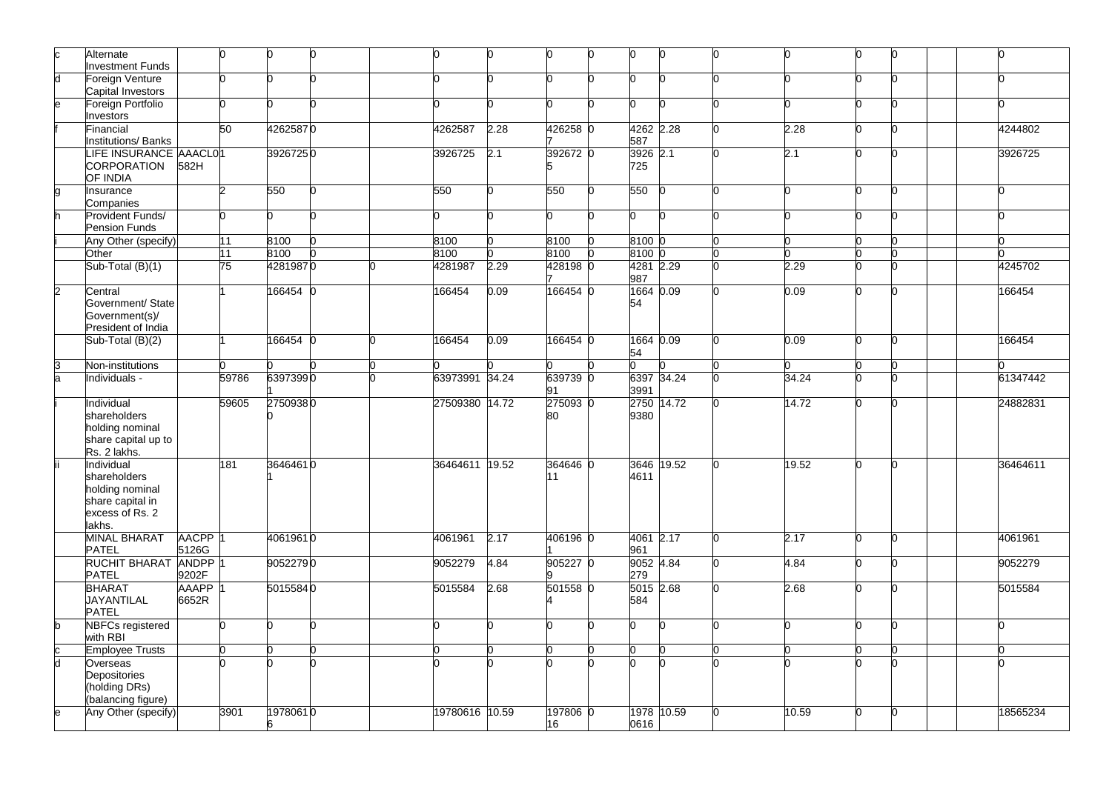|                         | Alternate<br>nvestment Funds        |                    | n     | n        | 'n |                |      |          | 0               |       |       | 0  | n | n            |
|-------------------------|-------------------------------------|--------------------|-------|----------|----|----------------|------|----------|-----------------|-------|-------|----|---|--------------|
| h                       | Foreign Venture                     |                    | n     |          |    |                |      | n        | n               |       |       | n  |   |              |
|                         | Capital Investors                   |                    |       |          |    |                |      |          |                 |       |       |    |   |              |
| e                       | Foreign Portfolio                   |                    | n     | U        | n  |                | n    | n        | 0               | n     |       | n  |   | 'n           |
|                         | nvestors                            |                    |       |          |    |                |      |          |                 |       |       |    |   |              |
|                         | inancial                            |                    | 50    | 42625870 |    | 4262587        | 2.28 | 426258 0 | 4262 2.28       |       | 2.28  | n. | n | 4244802      |
|                         | nstitutions/ Banks                  |                    |       |          |    |                |      |          | 587             |       |       |    |   |              |
|                         | LIFE INSURANCE AAACL01              |                    |       | 39267250 |    | 3926725        | 2.1  | 392672 0 | 3926 2.1        |       | 2.1   | n  |   | 3926725      |
|                         | CORPORATION                         | 582H               |       |          |    |                |      |          | 725             |       |       |    |   |              |
|                         | OF INDIA                            |                    |       |          |    |                |      |          |                 |       |       |    |   |              |
| a                       | Insurance                           |                    | っ     | 550      | n. | 550            | n.   | 550      | 550             |       |       | n  |   | <sup>0</sup> |
|                         | Companies                           |                    |       |          |    |                |      |          |                 |       |       |    |   |              |
|                         | Provident Funds/                    |                    | n     |          | n. | n              | n    | n        | O.              | 'n    | n     | n  | n | <sup>0</sup> |
|                         | <b>Pension Funds</b>                |                    |       |          |    |                |      |          |                 |       |       |    |   |              |
|                         | Any Other (specify)                 |                    | 11    | 8100     |    | 8100           | 'n   | 8100     | 8100 0          |       |       | n  |   | 'n           |
|                         | Other                               |                    | 11    | 8100     |    | 8100           |      | 8100     | 8100 0          |       |       | n  |   | 'n           |
|                         | Sub-Total (B)(1)                    |                    | 75    | 42819870 |    | 4281987        | 2.29 | 428198 0 | 4281 2.29       |       | 2.29  | n  |   | 4245702      |
|                         |                                     |                    |       |          |    |                |      |          | 987             |       |       |    |   |              |
| $\overline{2}$          | Central                             |                    |       | 166454 0 |    | 166454         | 0.09 | 166454 0 | 1664 0.09<br>54 |       | 0.09  | n  | n | 166454       |
|                         | Government/ State<br>Government(s)/ |                    |       |          |    |                |      |          |                 |       |       |    |   |              |
|                         | President of India                  |                    |       |          |    |                |      |          |                 |       |       |    |   |              |
|                         | Sub-Total (B)(2)                    |                    |       | 166454 0 |    | 166454         | 0.09 | 166454 0 | 1664 0.09       |       | 0.09  | n  |   | 166454       |
|                         |                                     |                    |       |          |    |                |      |          | 54              |       |       |    |   |              |
| 3                       | Non-institutions                    |                    |       |          |    |                |      |          |                 |       |       |    |   |              |
| la.                     | Individuals -                       |                    | 59786 | 63973990 |    | 63973991 34.24 |      | 639739 0 | 6397 34.24      |       | 34.24 |    |   | 61347442     |
|                         |                                     |                    |       |          |    |                |      | 91       | 3991            |       |       |    |   |              |
|                         | ndividual                           |                    | 59605 | 27509380 |    | 27509380 14.72 |      | 275093 0 | 2750            | 14.72 | 14.72 | n  |   | 24882831     |
|                         | shareholders                        |                    |       |          |    |                |      | 80       | 9380            |       |       |    |   |              |
|                         | holding nominal                     |                    |       |          |    |                |      |          |                 |       |       |    |   |              |
|                         | share capital up to                 |                    |       |          |    |                |      |          |                 |       |       |    |   |              |
|                         | Rs. 2 lakhs.                        |                    |       |          |    |                |      |          |                 |       |       |    |   |              |
|                         | Individual<br>shareholders          |                    | 181   | 36464610 |    | 36464611 19.52 |      | 364646 0 | 3646<br>4611    | 19.52 | 19.52 | n  | n | 36464611     |
|                         | holding nominal                     |                    |       |          |    |                |      | 11       |                 |       |       |    |   |              |
|                         | share capital in                    |                    |       |          |    |                |      |          |                 |       |       |    |   |              |
|                         | excess of Rs. 2                     |                    |       |          |    |                |      |          |                 |       |       |    |   |              |
|                         | lakhs.                              |                    |       |          |    |                |      |          |                 |       |       |    |   |              |
|                         | <b>MINAL BHARAT</b>                 | AACPP <sub>1</sub> |       | 40619610 |    | 4061961        | 2.17 | 406196 0 | 4061 2.17       |       | 2.17  | n  |   | 4061961      |
|                         | PATEL                               | 5126G              |       |          |    |                |      |          | 961             |       |       |    |   |              |
|                         | RUCHIT BHARAT                       | <b>ANDPP</b>       |       | 90522790 |    | 9052279        | 4.84 | 905227 0 | 9052 4.84       |       | 4.84  | n  |   | 9052279      |
|                         | <b>PATEL</b>                        | 9202F              |       |          |    |                |      |          | 279             |       |       |    |   |              |
|                         | <b>BHARAT</b>                       | AAAPP 1            |       | 50155840 |    | 5015584        | 2.68 | 501558 0 | 5015 2.68       |       | 2.68  | n  | n | 5015584      |
|                         | <b>JAYANTILAL</b>                   | 6652R              |       |          |    |                |      |          | 584             |       |       |    |   |              |
|                         | PATEL                               |                    |       |          |    |                |      |          |                 |       |       |    |   |              |
| b.                      | <b>VBFCs registered</b>             |                    |       | U        | n. |                | n    | U        | n               | 'n    |       | h  | n | <sup>0</sup> |
|                         | with RBI                            |                    |       |          |    |                |      |          |                 |       |       |    |   |              |
| $\overline{\mathsf{h}}$ | <b>Employee Trusts</b><br>Overseas  |                    |       |          |    |                |      |          | n               |       |       | n  | n | n            |
|                         | Depositories                        |                    |       |          |    |                |      |          |                 |       |       |    |   |              |
|                         | (holding DRs)                       |                    |       |          |    |                |      |          |                 |       |       |    |   |              |
|                         | (balancing figure)                  |                    |       |          |    |                |      |          |                 |       |       |    |   |              |
| e                       | Any Other (specify)                 |                    | 3901  | 19780610 |    | 19780616 10.59 |      | 197806 0 | 1978 10.59      |       | 10.59 | n. |   | 18565234     |
|                         |                                     |                    |       |          |    |                |      | 16       | 0616            |       |       |    |   |              |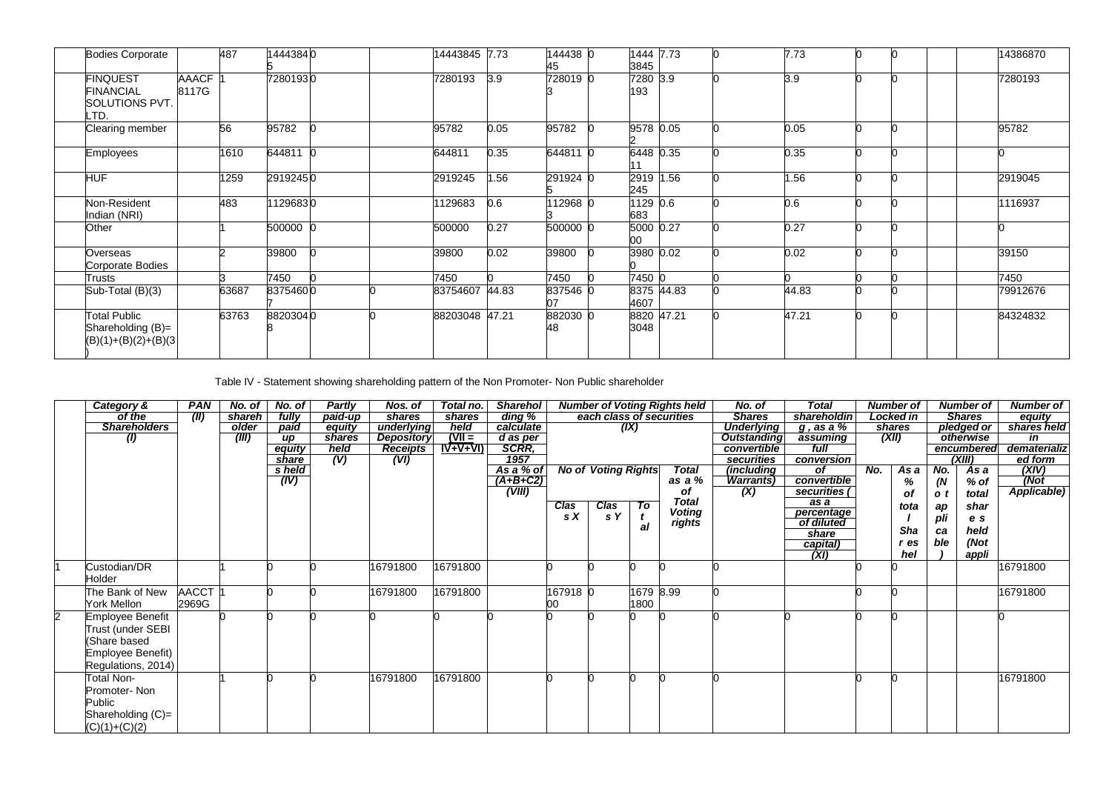| <b>Bodies Corporate</b>                                       |                       | 487   | 14443840 |  | 14443845 7.73  |      | 144438 0<br>45 | 1444<br>3845     | 7.73       | 7.73  |  | 14386870 |
|---------------------------------------------------------------|-----------------------|-------|----------|--|----------------|------|----------------|------------------|------------|-------|--|----------|
| <b>FINQUEST</b><br><b>FINANCIAL</b><br>SOLUTIONS PVT.<br>LTD. | <b>AAACF</b><br>8117G |       | 72801930 |  | 7280193        | 3.9  | 728019 0       | 7280 3.9<br>193  |            | 3.9   |  | 7280193  |
| Clearing member                                               |                       | 56    | 95782    |  | 95782          | 0.05 | 95782          | 9578 0.05        |            | 0.05  |  | 95782    |
| <b>Employees</b>                                              |                       | 1610  | 644811   |  | 644811         | 0.35 | 644811 0       | 6448 0.35        |            | 0.35  |  |          |
| <b>HUF</b>                                                    |                       | 1259  | 29192450 |  | 2919245        | 1.56 | 291924 0       | 2919 1.56<br>245 |            | 1.56  |  | 2919045  |
| Non-Resident<br>Indian (NRI)                                  |                       | 483   | 11296830 |  | 1129683        | 0.6  | 12968 0        | 1129 0.6<br>683  |            | 0.6   |  | 1116937  |
| Other                                                         |                       |       | 500000   |  | 500000         | 0.27 | 500000 0       | 5000 0.27<br>00  |            | 0.27  |  |          |
| Overseas<br>Corporate Bodies                                  |                       |       | 39800    |  | 39800          | 0.02 | 39800          | 3980 0.02        |            | 0.02  |  | 39150    |
| Trusts                                                        |                       |       | 7450     |  | 7450           |      | 7450           | 7450 0           |            |       |  | 7450     |
| Sub-Total (B)(3)                                              |                       | 63687 | 83754600 |  | 83754607 44.83 |      | 837546 0<br>ስ7 | 4607             | 8375 44.83 | 44.83 |  | 79912676 |
| Total Public<br>Shareholding (B)=<br>$(B)(1)+(B)(2)+(B)(3)$   |                       | 63763 | 88203040 |  | 88203048 47.21 |      | 882030 0<br>48 | 3048             | 8820 47.21 | 47.21 |  | 84324832 |

Table IV - Statement showing shareholding pattern of the Non Promoter- Non Public shareholder

| Category &           | <b>PAN</b>   | No. of | No. of    | <b>Partly</b> | Nos. of           | Total no. | <b>Sharehol</b>   |          |                            |                | <b>Number of Voting Rights held</b> | No. of             | Total               |     | <b>Number of</b> |     | <b>Number of</b> | Number of    |
|----------------------|--------------|--------|-----------|---------------|-------------------|-----------|-------------------|----------|----------------------------|----------------|-------------------------------------|--------------------|---------------------|-----|------------------|-----|------------------|--------------|
| of the               | (II)         | shareh | fully     | paid-up       | shares            | shares    | ding %            |          |                            |                | each class of securities            | <b>Shares</b>      | shareholdin         |     | Locked in        |     | <b>Shares</b>    | equity       |
| <b>Shareholders</b>  |              | older  | paid      | equity        | underlying        | held      | calculate         |          |                            | (IX)           |                                     | <b>Underlying</b>  | $q$ , as a $\%$     |     | shares           |     | pledged or       | shares held  |
| $\langle I \rangle$  |              | (III)  | <b>up</b> | shares        | <b>Depository</b> | $(VII =$  | d as per<br>SCRR, |          |                            |                |                                     | <b>Outstanding</b> | assuming            |     | (XII)            |     | otherwise        | in           |
|                      |              |        | equity    | held          | <b>Receipts</b>   | $IV+V+VI$ |                   |          |                            |                |                                     | convertible        | full                |     |                  |     | encumbered       | dematerializ |
|                      |              |        | share     | (V)           | (VI)              |           | 1957              |          |                            |                |                                     | securities         | conversion          |     |                  |     | (XIII)           | ed form      |
|                      |              |        | s held    |               |                   |           | As a % of         |          | <b>No of Voting Rights</b> |                | <b>Total</b>                        | (including         | $\overline{of}$     | No. | As a             | No. | As a             | (XIV)        |
|                      |              |        | (IV)      |               |                   |           | $(A+B+C2)$        |          |                            |                | as a %                              | <b>Warrants</b> )  | convertible         |     | %                | (N) | % of             | (Not         |
|                      |              |        |           |               |                   |           | (VIII)            |          |                            |                | оf                                  | (X)                | securities (        |     | οf               | o t | total            | Applicable)  |
|                      |              |        |           |               |                   |           |                   | Clas     | Clas                       | T <sub>o</sub> | <b>Total</b>                        |                    | as a                |     | tota             | ap  | shar             |              |
|                      |              |        |           |               |                   |           |                   | s X      | s Y                        |                | Voting                              |                    | percentage          |     |                  | pli | e s              |              |
|                      |              |        |           |               |                   |           |                   |          |                            | al             | rights                              |                    | of diluted<br>share |     | Sha              | са  | held             |              |
|                      |              |        |           |               |                   |           |                   |          |                            |                |                                     |                    | capital)            |     | r es             | ble | (Not             |              |
|                      |              |        |           |               |                   |           |                   |          |                            |                |                                     |                    | $\overline{(XI)}$   |     | hel              |     | appli            |              |
| Custodian/DR         |              |        |           |               | 16791800          | 16791800  |                   |          |                            |                |                                     |                    |                     |     |                  |     |                  | 16791800     |
| Holder               |              |        |           |               |                   |           |                   |          |                            |                |                                     |                    |                     |     |                  |     |                  |              |
| The Bank of New      | <b>AACCT</b> |        |           |               | 16791800          | 16791800  |                   | 167918 0 |                            | 1679 8.99      |                                     |                    |                     |     |                  |     |                  | 16791800     |
|                      |              |        |           |               |                   |           |                   |          |                            |                |                                     |                    |                     |     |                  |     |                  |              |
| York Mellon          | 2969G        |        |           |               |                   |           |                   | 00       |                            | 1800           |                                     |                    |                     |     |                  |     |                  |              |
| Employee Benefit     |              |        |           |               |                   |           |                   |          |                            |                |                                     |                    |                     |     |                  |     |                  |              |
| Trust (under SEBI    |              |        |           |               |                   |           |                   |          |                            |                |                                     |                    |                     |     |                  |     |                  |              |
| Share based          |              |        |           |               |                   |           |                   |          |                            |                |                                     |                    |                     |     |                  |     |                  |              |
| Employee Benefit)    |              |        |           |               |                   |           |                   |          |                            |                |                                     |                    |                     |     |                  |     |                  |              |
| Regulations, 2014)   |              |        |           |               |                   |           |                   |          |                            |                |                                     |                    |                     |     |                  |     |                  |              |
| Total Non-           |              |        |           |               | 16791800          | 16791800  |                   |          |                            |                |                                     |                    |                     |     |                  |     |                  | 16791800     |
| Promoter-Non         |              |        |           |               |                   |           |                   |          |                            |                |                                     |                    |                     |     |                  |     |                  |              |
| Public               |              |        |           |               |                   |           |                   |          |                            |                |                                     |                    |                     |     |                  |     |                  |              |
| Shareholding $(C)$ = |              |        |           |               |                   |           |                   |          |                            |                |                                     |                    |                     |     |                  |     |                  |              |
|                      |              |        |           |               |                   |           |                   |          |                            |                |                                     |                    |                     |     |                  |     |                  |              |
| $(C)(1)+(C)(2)$      |              |        |           |               |                   |           |                   |          |                            |                |                                     |                    |                     |     |                  |     |                  |              |